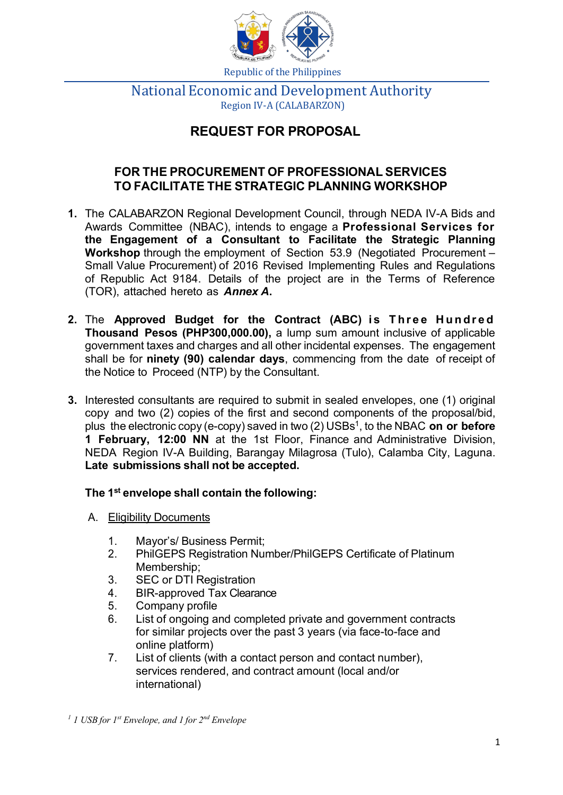

## National Economic and Development Authority Region IV-A (CALABARZON)

## **REQUEST FOR PROPOSAL**

### **FOR THE PROCUREMENT OF PROFESSIONAL SERVICES TO FACILITATE THE STRATEGIC PLANNING WORKSHOP**

- **1.** The CALABARZON Regional Development Council, through NEDA IV-A Bids and Awards Committee (NBAC), intends to engage a **Professional Services for the Engagement of a Consultant to Facilitate the Strategic Planning Workshop** through the employment of Section 53.9 (Negotiated Procurement – Small Value Procurement) of 2016 Revised Implementing Rules and Regulations of Republic Act 9184. Details of the project are in the Terms of Reference (TOR), attached hereto as *Annex A***.**
- **2.** The **Approved Budget for the Contract (ABC) i s Three Hundred Thousand Pesos (PHP300,000.00),** a lump sum amount inclusive of applicable government taxes and charges and all other incidental expenses. The engagement shall be for **ninety (90) calendar days**, commencing from the date of receipt of the Notice to Proceed (NTP) by the Consultant.
- **3.** Interested consultants are required to submit in sealed envelopes, one (1) original copy and two (2) copies of the first and second components of the proposal/bid, plus the electronic copy (e-copy) saved in two (2) USBs1, to the NBAC **on or before 1 February, 12:00 NN** at the 1st Floor, Finance and Administrative Division, NEDA Region IV-A Building, Barangay Milagrosa (Tulo), Calamba City, Laguna. **Late submissions shall not be accepted.**

#### **The 1st envelope shall contain the following:**

- A. Eligibility Documents
	- 1. Mayor's/ Business Permit;
	- 2. PhilGEPS Registration Number/PhilGEPS Certificate of Platinum Membership;
	- 3. SEC or DTI Registration
	- 4. BIR-approved Tax Clearance
	- 5. Company profile
	- 6. List of ongoing and completed private and government contracts for similar projects over the past 3 years (via face-to-face and online platform)
	- 7. List of clients (with a contact person and contact number), services rendered, and contract amount (local and/or international)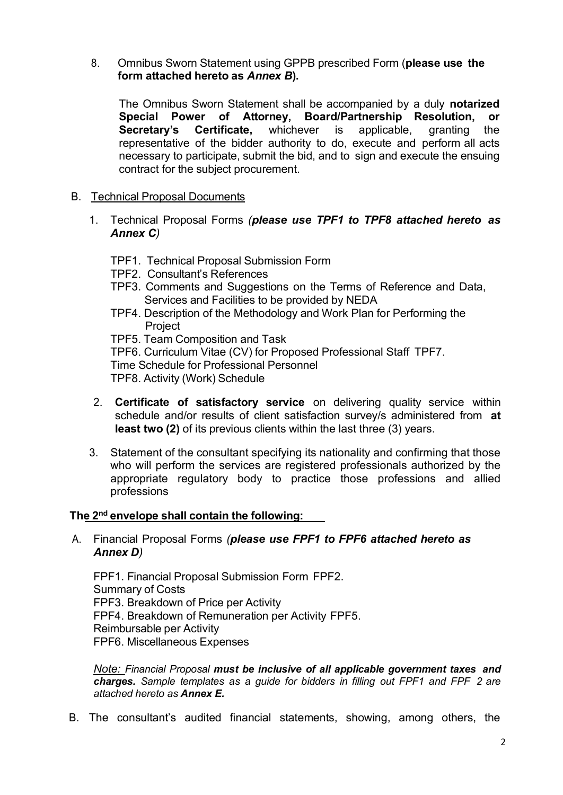8. Omnibus Sworn Statement using GPPB prescribed Form (**please use the form attached hereto as** *Annex B***).**

The Omnibus Sworn Statement shall be accompanied by a duly **notarized Special Power of Attorney, Board/Partnership Resolution, or Secretary's Certificate,** whichever is applicable, granting the representative of the bidder authority to do, execute and perform all acts necessary to participate, submit the bid, and to sign and execute the ensuing contract for the subject procurement.

- B. Technical Proposal Documents
	- 1. Technical Proposal Forms *(please use TPF1 to TPF8 attached hereto as Annex C)*
		- TPF1. Technical Proposal Submission Form
		- TPF2. Consultant's References
		- TPF3. Comments and Suggestions on the Terms of Reference and Data, Services and Facilities to be provided by NEDA
		- TPF4. Description of the Methodology and Work Plan for Performing the Project
		- TPF5. Team Composition and Task

TPF6. Curriculum Vitae (CV) for Proposed Professional Staff TPF7. Time Schedule for Professional Personnel TPF8. Activity (Work) Schedule

- 2. **Certificate of satisfactory service** on delivering quality service within schedule and/or results of client satisfaction survey/s administered from **at least two (2)** of its previous clients within the last three (3) years.
- 3. Statement of the consultant specifying its nationality and confirming that those who will perform the services are registered professionals authorized by the appropriate regulatory body to practice those professions and allied professions

#### **The 2nd envelope shall contain the following:**

A. Financial Proposal Forms *(please use FPF1 to FPF6 attached hereto as Annex D)*

FPF1. Financial Proposal Submission Form FPF2. Summary of Costs FPF3. Breakdown of Price per Activity FPF4. Breakdown of Remuneration per Activity FPF5. Reimbursable per Activity FPF6. Miscellaneous Expenses

*Note: Financial Proposal must be inclusive of all applicable government taxes and charges. Sample templates as a guide for bidders in filling out FPF1 and FPF 2 are attached hereto as Annex E.*

B. The consultant's audited financial statements, showing, among others, the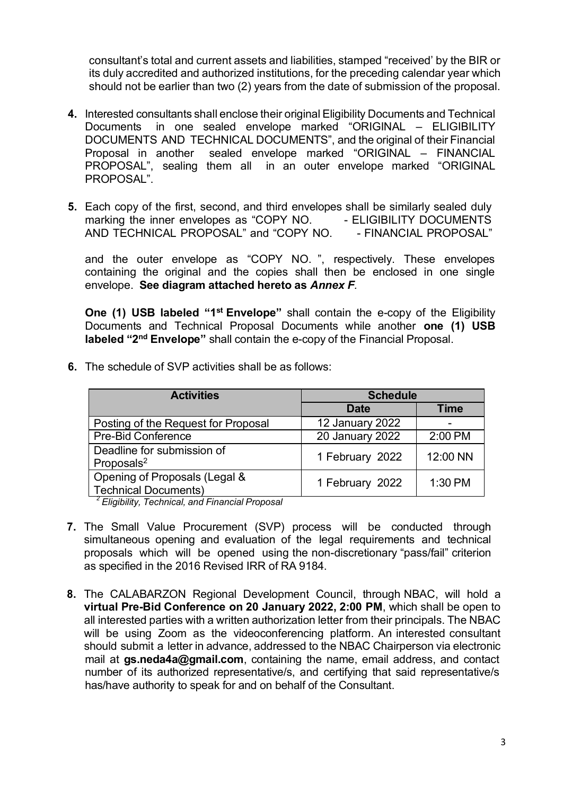consultant's total and current assets and liabilities, stamped "received' by the BIR or its duly accredited and authorized institutions, for the preceding calendar year which should not be earlier than two (2) years from the date of submission of the proposal.

- **4.** Interested consultants shall enclose their original Eligibility Documents and Technical Documents in one sealed envelope marked "ORIGINAL – ELIGIBILITY DOCUMENTS AND TECHNICAL DOCUMENTS", and the original of their Financial Proposal in another sealed envelope marked "ORIGINAL – FINANCIAL PROPOSAL", sealing them all in an outer envelope marked "ORIGINAL PROPOSAL".
- **5.** Each copy of the first, second, and third envelopes shall be similarly sealed duly marking the inner envelopes as "COPY NO. AND TECHNICAL PROPOSAL" and "COPY NO. - ELIGIBILITY DOCUMENTS - FINANCIAL PROPOSAL"

and the outer envelope as "COPY NO. ", respectively. These envelopes containing the original and the copies shall then be enclosed in one single envelope. **See diagram attached hereto as** *Annex F.*

**One (1) USB labeled "1st Envelope"** shall contain the e-copy of the Eligibility Documents and Technical Proposal Documents while another **one (1) USB labeled "2nd Envelope"** shall contain the e-copy of the Financial Proposal.

| <b>Activities</b>                                            | <b>Schedule</b> |             |  |  |  |  |
|--------------------------------------------------------------|-----------------|-------------|--|--|--|--|
|                                                              | Date            | <b>Time</b> |  |  |  |  |
| Posting of the Request for Proposal                          | 12 January 2022 |             |  |  |  |  |
| <b>Pre-Bid Conference</b>                                    | 20 January 2022 | 2:00 PM     |  |  |  |  |
| Deadline for submission of<br>Proposals <sup>2</sup>         | 1 February 2022 | 12:00 NN    |  |  |  |  |
| Opening of Proposals (Legal &<br><b>Technical Documents)</b> | 1 February 2022 | $1:30$ PM   |  |  |  |  |

**6.** The schedule of SVP activities shall be as follows:

*<sup>2</sup> Eligibility, Technical, and Financial Proposal*

- **7.** The Small Value Procurement (SVP) process will be conducted through simultaneous opening and evaluation of the legal requirements and technical proposals which will be opened using the non-discretionary "pass/fail" criterion as specified in the 2016 Revised IRR of RA 9184.
- **8.** The CALABARZON Regional Development Council, through NBAC, will hold a **virtual Pre-Bid Conference on 20 January 2022, 2:00 PM**, which shall be open to all interested parties with a written authorization letter from their principals. The NBAC will be using Zoom as the videoconferencing platform. An interested consultant should submit a letter in advance, addressed to the NBAC Chairperson via electronic mail at **gs.neda4a@gmail.com**, containing the name, email address, and contact number of its authorized representative/s, and certifying that said representative/s has/have authority to speak for and on behalf of the Consultant.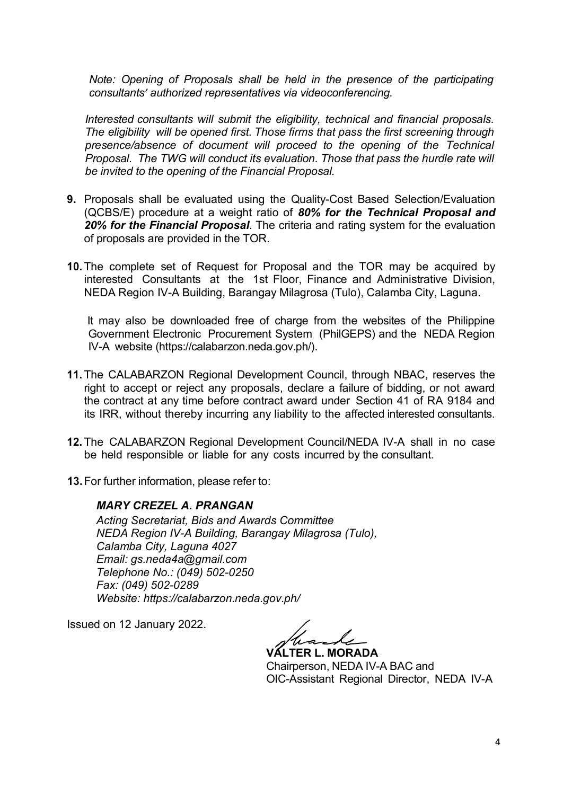*Note: Opening of Proposals shall be held in the presence of the participating consultants' authorized representatives via videoconferencing.*

*Interested consultants will submit the eligibility, technical and financial proposals. The eligibility will be opened first. Those firms that pass the first screening through presence/absence of document will proceed to the opening of the Technical Proposal. The TWG will conduct its evaluation. Those that pass the hurdle rate will be invited to the opening of the Financial Proposal.*

- **9.** Proposals shall be evaluated using the Quality-Cost Based Selection/Evaluation (QCBS/E) procedure at a weight ratio of *80% for the Technical Proposal and 20% for the Financial Proposal*. The criteria and rating system for the evaluation of proposals are provided in the TOR.
- **10.** The complete set of Request for Proposal and the TOR may be acquired by interested Consultants at the 1st Floor, Finance and Administrative Division, NEDA Region IV-A Building, Barangay Milagrosa (Tulo), Calamba City, Laguna.

It may also be downloaded free of charge from the websites of the Philippine Government Electronic Procurement System (PhilGEPS) and the NEDA Region IV-A website (https://calabarzon.neda.gov.ph/).

- **11.** The CALABARZON Regional Development Council, through NBAC, reserves the right to accept or reject any proposals, declare a failure of bidding, or not award the contract at any time before contract award under Section 41 of RA 9184 and its IRR, without thereby incurring any liability to the affected interested consultants.
- **12.** The CALABARZON Regional Development Council/NEDA IV-A shall in no case be held responsible or liable for any costs incurred by the consultant.
- **13.**For further information, please refer to:

#### *MARY CREZEL A. PRANGAN*

*Acting Secretariat, Bids and Awards Committee NEDA Region IV-A Building, Barangay Milagrosa (Tulo), Calamba City, Laguna 4027 Email: [gs.neda4a@gmail.com](mailto:gs.neda4a@gmail.com) Telephone No.: (049) 502-0250 Fax: (049) 502-0289 Website: https://calabarzon.neda.gov.ph/*

Issued on 12 January 2022.

**VALTER L. MORADA** Chairperson, NEDA IV-A BAC and OIC-Assistant Regional Director, NEDA IV-A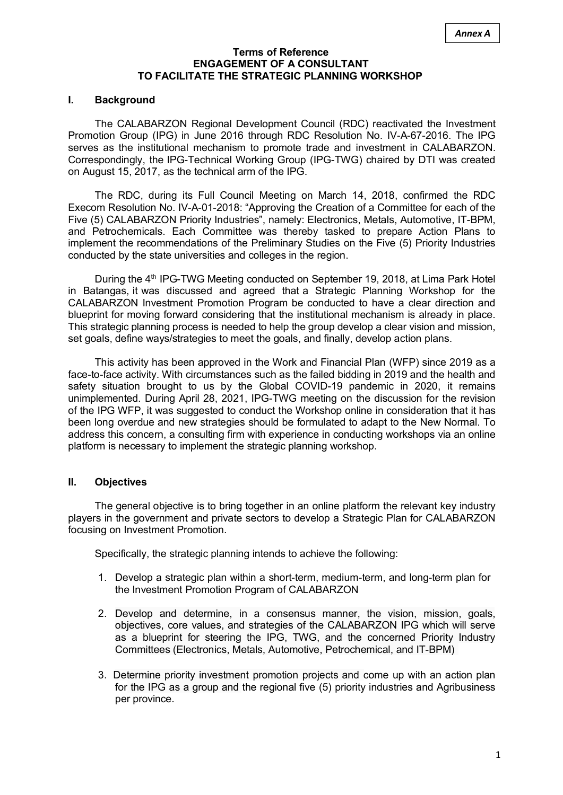#### **Terms of Reference ENGAGEMENT OF A CONSULTANT TO FACILITATE THE STRATEGIC PLANNING WORKSHOP**

#### **I. Background**

The CALABARZON Regional Development Council (RDC) reactivated the Investment Promotion Group (IPG) in June 2016 through RDC Resolution No. IV-A-67-2016. The IPG serves as the institutional mechanism to promote trade and investment in CALABARZON. Correspondingly, the IPG-Technical Working Group (IPG-TWG) chaired by DTI was created on August 15, 2017, as the technical arm of the IPG.

The RDC, during its Full Council Meeting on March 14, 2018, confirmed the RDC Execom Resolution No. IV-A-01-2018: "Approving the Creation of a Committee for each of the Five (5) CALABARZON Priority Industries", namely: Electronics, Metals, Automotive, IT-BPM, and Petrochemicals. Each Committee was thereby tasked to prepare Action Plans to implement the recommendations of the Preliminary Studies on the Five (5) Priority Industries conducted by the state universities and colleges in the region.

During the 4<sup>th</sup> IPG-TWG Meeting conducted on September 19, 2018, at Lima Park Hotel in Batangas, it was discussed and agreed that a Strategic Planning Workshop for the CALABARZON Investment Promotion Program be conducted to have a clear direction and blueprint for moving forward considering that the institutional mechanism is already in place. This strategic planning process is needed to help the group develop a clear vision and mission, set goals, define ways/strategies to meet the goals, and finally, develop action plans.

This activity has been approved in the Work and Financial Plan (WFP) since 2019 as a face-to-face activity. With circumstances such as the failed bidding in 2019 and the health and safety situation brought to us by the Global COVID-19 pandemic in 2020, it remains unimplemented. During April 28, 2021, IPG-TWG meeting on the discussion for the revision of the IPG WFP, it was suggested to conduct the Workshop online in consideration that it has been long overdue and new strategies should be formulated to adapt to the New Normal. To address this concern, a consulting firm with experience in conducting workshops via an online platform is necessary to implement the strategic planning workshop.

#### **II. Objectives**

The general objective is to bring together in an online platform the relevant key industry players in the government and private sectors to develop a Strategic Plan for CALABARZON focusing on Investment Promotion.

Specifically, the strategic planning intends to achieve the following:

- 1. Develop a strategic plan within a short-term, medium-term, and long-term plan for the Investment Promotion Program of CALABARZON
- 2. Develop and determine, in a consensus manner, the vision, mission, goals, objectives, core values, and strategies of the CALABARZON IPG which will serve as a blueprint for steering the IPG, TWG, and the concerned Priority Industry Committees (Electronics, Metals, Automotive, Petrochemical, and IT-BPM)
- 3. Determine priority investment promotion projects and come up with an action plan for the IPG as a group and the regional five (5) priority industries and Agribusiness per province.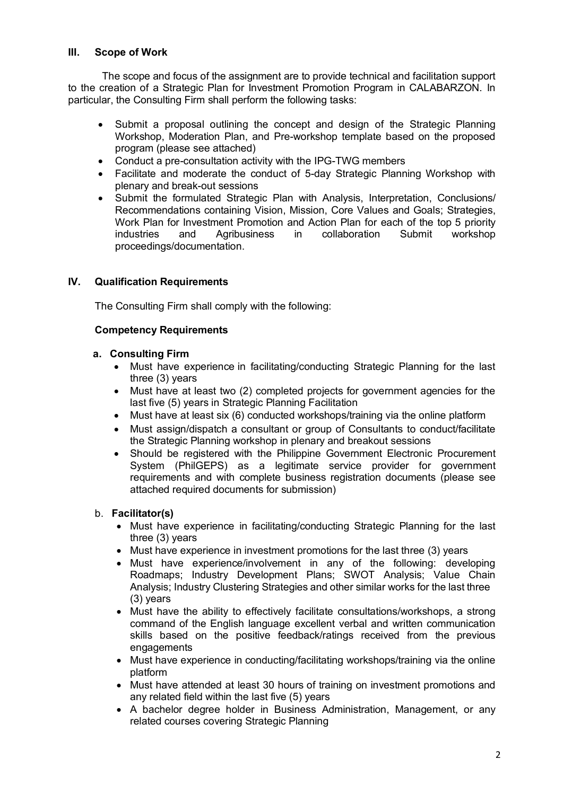#### **III. Scope of Work**

The scope and focus of the assignment are to provide technical and facilitation support to the creation of a Strategic Plan for Investment Promotion Program in CALABARZON. In particular, the Consulting Firm shall perform the following tasks:

- Submit a proposal outlining the concept and design of the Strategic Planning Workshop, Moderation Plan, and Pre-workshop template based on the proposed program (please see attached)
- Conduct a pre-consultation activity with the IPG-TWG members
- Facilitate and moderate the conduct of 5-day Strategic Planning Workshop with plenary and break-out sessions
- Submit the formulated Strategic Plan with Analysis, Interpretation, Conclusions/ Recommendations containing Vision, Mission, Core Values and Goals; Strategies, Work Plan for Investment Promotion and Action Plan for each of the top 5 priority industries and Agribusiness in collaboration Submit workshop proceedings/documentation.

#### **IV. Qualification Requirements**

The Consulting Firm shall comply with the following:

#### **Competency Requirements**

#### **a. Consulting Firm**

- Must have experience in facilitating/conducting Strategic Planning for the last three (3) years
- Must have at least two (2) completed projects for government agencies for the last five (5) years in Strategic Planning Facilitation
- Must have at least six (6) conducted workshops/training via the online platform
- Must assign/dispatch a consultant or group of Consultants to conduct/facilitate the Strategic Planning workshop in plenary and breakout sessions
- Should be registered with the Philippine Government Electronic Procurement System (PhilGEPS) as a legitimate service provider for government requirements and with complete business registration documents (please see attached required documents for submission)

#### b. **Facilitator(s)**

- Must have experience in facilitating/conducting Strategic Planning for the last three (3) years
- Must have experience in investment promotions for the last three (3) years
- Must have experience/involvement in any of the following: developing Roadmaps; Industry Development Plans; SWOT Analysis; Value Chain Analysis; Industry Clustering Strategies and other similar works for the last three (3) years
- Must have the ability to effectively facilitate consultations/workshops, a strong command of the English language excellent verbal and written communication skills based on the positive feedback/ratings received from the previous engagements
- Must have experience in conducting/facilitating workshops/training via the online platform
- Must have attended at least 30 hours of training on investment promotions and any related field within the last five (5) years
- A bachelor degree holder in Business Administration, Management, or any related courses covering Strategic Planning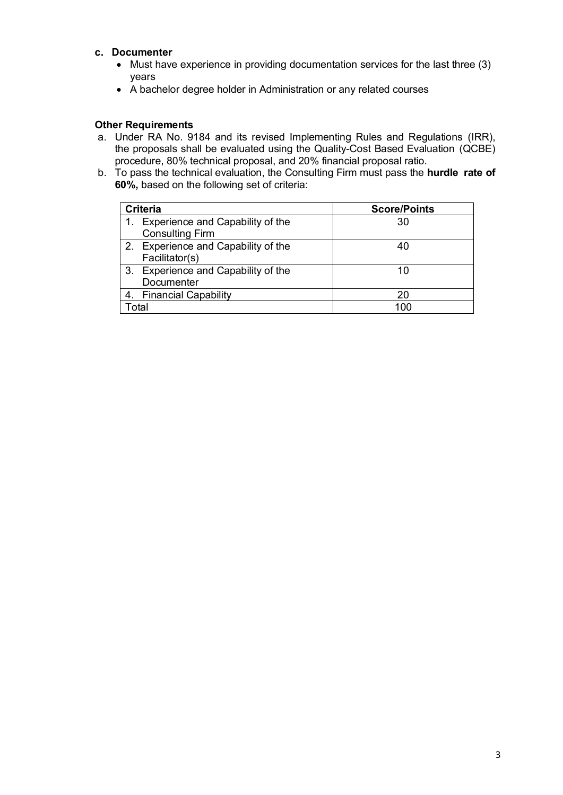#### **c. Documenter**

- Must have experience in providing documentation services for the last three (3) years
- A bachelor degree holder in Administration or any related courses

#### **Other Requirements**

- a. Under RA No. 9184 and its revised Implementing Rules and Regulations (IRR), the proposals shall be evaluated using the Quality-Cost Based Evaluation (QCBE) procedure, 80% technical proposal, and 20% financial proposal ratio.
- b. To pass the technical evaluation, the Consulting Firm must pass the **hurdle rate of 60%,** based on the following set of criteria:

| <b>Criteria</b>                                            | <b>Score/Points</b> |
|------------------------------------------------------------|---------------------|
| Experience and Capability of the<br><b>Consulting Firm</b> | 30                  |
|                                                            |                     |
| 2. Experience and Capability of the<br>Facilitator(s)      | 40                  |
| 3. Experience and Capability of the                        | 10                  |
| Documenter                                                 |                     |
| 4. Financial Capability                                    | 20                  |
| ʻotal                                                      | 10G                 |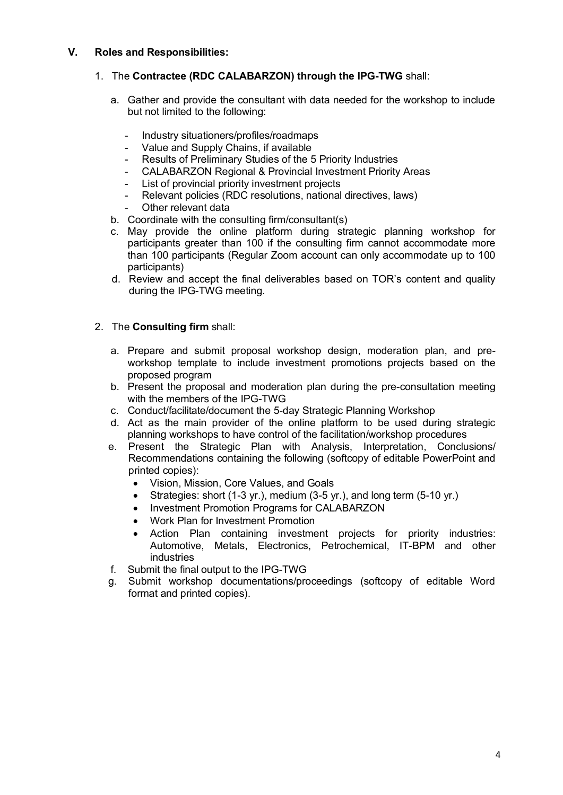#### **V. Roles and Responsibilities:**

#### 1. The **Contractee (RDC CALABARZON) through the IPG-TWG** shall:

- a. Gather and provide the consultant with data needed for the workshop to include but not limited to the following:
	- Industry situationers/profiles/roadmaps
	- Value and Supply Chains, if available
	- Results of Preliminary Studies of the 5 Priority Industries
	- CALABARZON Regional & Provincial Investment Priority Areas
	- List of provincial priority investment projects
	- Relevant policies (RDC resolutions, national directives, laws)
	- Other relevant data
- b. Coordinate with the consulting firm/consultant(s)
- c. May provide the online platform during strategic planning workshop for participants greater than 100 if the consulting firm cannot accommodate more than 100 participants (Regular Zoom account can only accommodate up to 100 participants)
- d. Review and accept the final deliverables based on TOR's content and quality during the IPG-TWG meeting.

#### 2. The **Consulting firm** shall:

- a. Prepare and submit proposal workshop design, moderation plan, and preworkshop template to include investment promotions projects based on the proposed program
- b. Present the proposal and moderation plan during the pre-consultation meeting with the members of the IPG-TWG
- c. Conduct/facilitate/document the 5-day Strategic Planning Workshop
- d. Act as the main provider of the online platform to be used during strategic planning workshops to have control of the facilitation/workshop procedures
- e. Present the Strategic Plan with Analysis, Interpretation, Conclusions/ Recommendations containing the following (softcopy of editable PowerPoint and printed copies):
	- Vision, Mission, Core Values, and Goals
	- Strategies: short (1-3 yr.), medium (3-5 yr.), and long term (5-10 yr.)
	- Investment Promotion Programs for CALABARZON
	- Work Plan for Investment Promotion
	- Action Plan containing investment projects for priority industries: Automotive, Metals, Electronics, Petrochemical, IT-BPM and other industries
- f. Submit the final output to the IPG-TWG
- g. Submit workshop documentations/proceedings (softcopy of editable Word format and printed copies).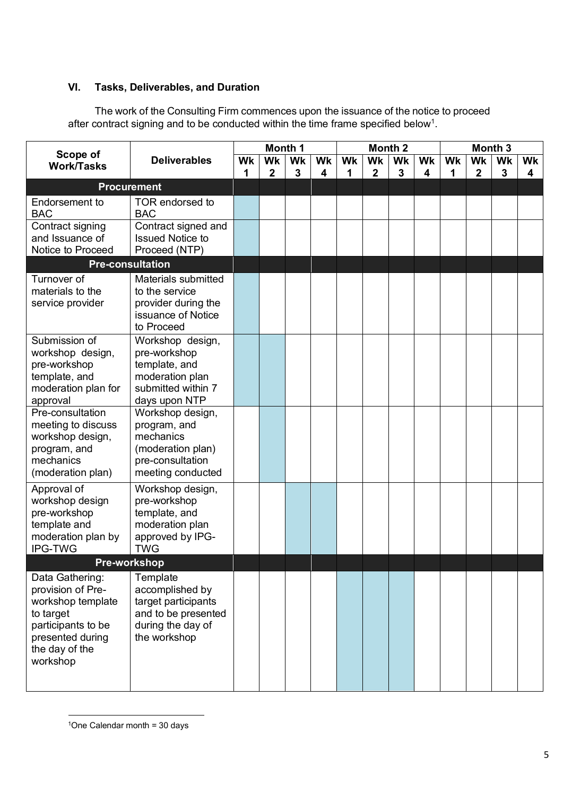#### **VI. Tasks, Deliverables, and Duration**

The work of the Consulting Firm commences upon the issuance of the notice to proceed after contract signing and to be conducted within the time frame specified below<sup>1</sup>.

|                                                                                                                                                |                                                                                                                |         |                          |         |         |         | Month <sub>2</sub> |         |         | Month <sub>3</sub> |                   |         |         |
|------------------------------------------------------------------------------------------------------------------------------------------------|----------------------------------------------------------------------------------------------------------------|---------|--------------------------|---------|---------|---------|--------------------|---------|---------|--------------------|-------------------|---------|---------|
| Scope of<br><b>Work/Tasks</b>                                                                                                                  | <b>Deliverables</b>                                                                                            | Wk<br>1 | <b>Wk</b><br>$\mathbf 2$ | Wk<br>3 | Wk<br>4 | Wk<br>1 | Wk<br>$\mathbf 2$  | Wk<br>3 | Wk<br>4 | Wk<br>1            | Wk<br>$\mathbf 2$ | Wk<br>3 | Wk<br>4 |
| <b>Procurement</b>                                                                                                                             |                                                                                                                |         |                          |         |         |         |                    |         |         |                    |                   |         |         |
| Endorsement to<br><b>BAC</b>                                                                                                                   | TOR endorsed to<br><b>BAC</b>                                                                                  |         |                          |         |         |         |                    |         |         |                    |                   |         |         |
| Contract signing<br>and Issuance of<br>Notice to Proceed                                                                                       | Contract signed and<br><b>Issued Notice to</b><br>Proceed (NTP)                                                |         |                          |         |         |         |                    |         |         |                    |                   |         |         |
| <b>Pre-consultation</b>                                                                                                                        |                                                                                                                |         |                          |         |         |         |                    |         |         |                    |                   |         |         |
| Turnover of<br>materials to the<br>service provider                                                                                            | Materials submitted<br>to the service<br>provider during the<br>issuance of Notice<br>to Proceed               |         |                          |         |         |         |                    |         |         |                    |                   |         |         |
| Submission of<br>workshop design,<br>pre-workshop<br>template, and<br>moderation plan for<br>approval                                          | Workshop design,<br>pre-workshop<br>template, and<br>moderation plan<br>submitted within 7<br>days upon NTP    |         |                          |         |         |         |                    |         |         |                    |                   |         |         |
| Pre-consultation<br>meeting to discuss<br>workshop design,<br>program, and<br>mechanics<br>(moderation plan)                                   | Workshop design,<br>program, and<br>mechanics<br>(moderation plan)<br>pre-consultation<br>meeting conducted    |         |                          |         |         |         |                    |         |         |                    |                   |         |         |
| Approval of<br>workshop design<br>pre-workshop<br>template and<br>moderation plan by<br><b>IPG-TWG</b>                                         | Workshop design,<br>pre-workshop<br>template, and<br>moderation plan<br>approved by IPG-<br><b>TWG</b>         |         |                          |         |         |         |                    |         |         |                    |                   |         |         |
| <b>Pre-workshop</b>                                                                                                                            |                                                                                                                |         |                          |         |         |         |                    |         |         |                    |                   |         |         |
| Data Gathering:<br>provision of Pre-<br>workshop template<br>to target<br>participants to be<br>presented during<br>the day of the<br>workshop | Template<br>accomplished by<br>target participants<br>and to be presented<br>during the day of<br>the workshop |         |                          |         |         |         |                    |         |         |                    |                   |         |         |

 $1$ One Calendar month = 30 days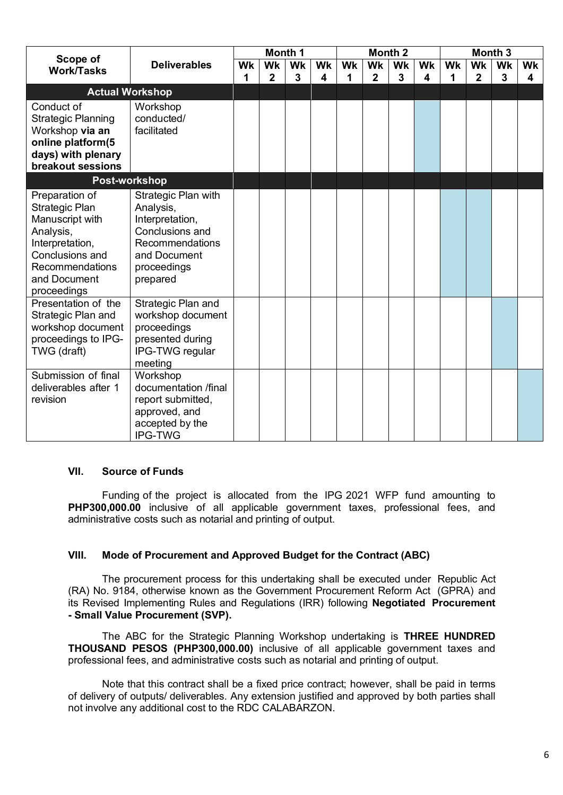| Scope of                                                                                                                                                        |                                                                                                                                      |           | Month 1        |                |    |           |                | Month <sub>2</sub> |                         | Month <sub>3</sub> |                |                         |    |
|-----------------------------------------------------------------------------------------------------------------------------------------------------------------|--------------------------------------------------------------------------------------------------------------------------------------|-----------|----------------|----------------|----|-----------|----------------|--------------------|-------------------------|--------------------|----------------|-------------------------|----|
| <b>Work/Tasks</b>                                                                                                                                               | <b>Deliverables</b>                                                                                                                  | <b>Wk</b> | <b>Wk</b>      | <b>Wk</b>      | Wk | <b>Wk</b> | Wk             | Wk                 | Wk                      | Wk                 | Wk             | Wk                      | Wk |
|                                                                                                                                                                 |                                                                                                                                      | 1         | $\overline{2}$ | $\overline{3}$ | 4  | 1         | $\overline{2}$ | 3                  | $\overline{\mathbf{4}}$ | 1                  | $\overline{2}$ | $\overline{\mathbf{3}}$ | 4  |
|                                                                                                                                                                 | <b>Actual Workshop</b>                                                                                                               |           |                |                |    |           |                |                    |                         |                    |                |                         |    |
| Conduct of<br><b>Strategic Planning</b><br>Workshop via an<br>online platform(5<br>days) with plenary<br>breakout sessions                                      | Workshop<br>conducted/<br>facilitated                                                                                                |           |                |                |    |           |                |                    |                         |                    |                |                         |    |
|                                                                                                                                                                 | Post-workshop                                                                                                                        |           |                |                |    |           |                |                    |                         |                    |                |                         |    |
| Preparation of<br>Strategic Plan<br>Manuscript with<br>Analysis,<br>Interpretation,<br>Conclusions and<br><b>Recommendations</b><br>and Document<br>proceedings | Strategic Plan with<br>Analysis,<br>Interpretation,<br>Conclusions and<br>Recommendations<br>and Document<br>proceedings<br>prepared |           |                |                |    |           |                |                    |                         |                    |                |                         |    |
| Presentation of the<br>Strategic Plan and<br>workshop document<br>proceedings to IPG-<br>TWG (draft)                                                            | Strategic Plan and<br>workshop document<br>proceedings<br>presented during<br>IPG-TWG regular<br>meeting                             |           |                |                |    |           |                |                    |                         |                    |                |                         |    |
| Submission of final<br>deliverables after 1<br>revision                                                                                                         | Workshop<br>documentation /final<br>report submitted,<br>approved, and<br>accepted by the<br>IPG-TWG                                 |           |                |                |    |           |                |                    |                         |                    |                |                         |    |

#### **VII. Source of Funds**

Funding of the project is allocated from the IPG 2021 WFP fund amounting to **PHP300,000.00** inclusive of all applicable government taxes, professional fees, and administrative costs such as notarial and printing of output.

#### **VIII. Mode of Procurement and Approved Budget for the Contract (ABC)**

The procurement process for this undertaking shall be executed under Republic Act (RA) No. 9184, otherwise known as the Government Procurement Reform Act (GPRA) and its Revised Implementing Rules and Regulations (IRR) following **Negotiated Procurement - Small Value Procurement (SVP).**

The ABC for the Strategic Planning Workshop undertaking is **THREE HUNDRED THOUSAND PESOS (PHP300,000.00)** inclusive of all applicable government taxes and professional fees, and administrative costs such as notarial and printing of output.

Note that this contract shall be a fixed price contract; however, shall be paid in terms of delivery of outputs/ deliverables. Any extension justified and approved by both parties shall not involve any additional cost to the RDC CALABARZON.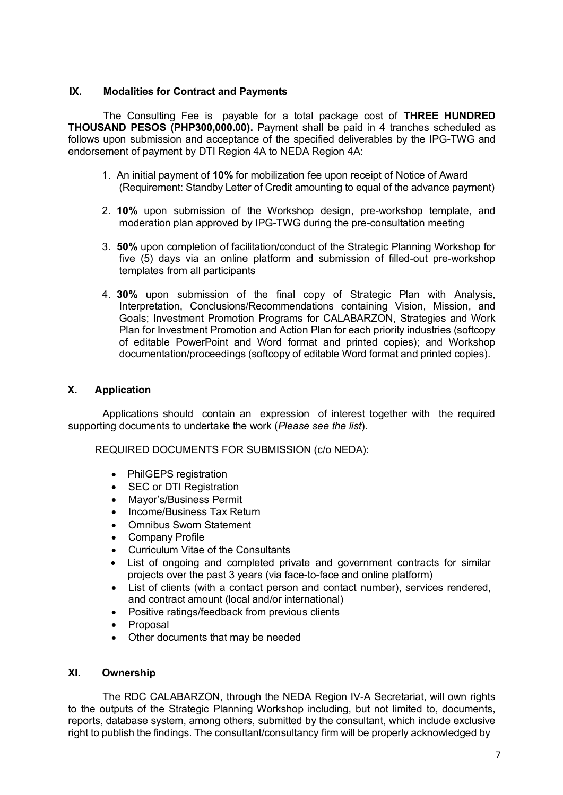#### **IX. Modalities for Contract and Payments**

The Consulting Fee is payable for a total package cost of **THREE HUNDRED THOUSAND PESOS (PHP300,000.00).** Payment shall be paid in 4 tranches scheduled as follows upon submission and acceptance of the specified deliverables by the IPG-TWG and endorsement of payment by DTI Region 4A to NEDA Region 4A:

- 1. An initial payment of **10%** for mobilization fee upon receipt of Notice of Award (Requirement: Standby Letter of Credit amounting to equal of the advance payment)
- 2. **10%** upon submission of the Workshop design, pre-workshop template, and moderation plan approved by IPG-TWG during the pre-consultation meeting
- 3. **50%** upon completion of facilitation/conduct of the Strategic Planning Workshop for five (5) days via an online platform and submission of filled-out pre-workshop templates from all participants
- 4. **30%** upon submission of the final copy of Strategic Plan with Analysis, Interpretation, Conclusions/Recommendations containing Vision, Mission, and Goals; Investment Promotion Programs for CALABARZON, Strategies and Work Plan for Investment Promotion and Action Plan for each priority industries (softcopy of editable PowerPoint and Word format and printed copies); and Workshop documentation/proceedings (softcopy of editable Word format and printed copies).

#### **X. Application**

Applications should contain an expression of interest together with the required supporting documents to undertake the work (*Please see the list*).

REQUIRED DOCUMENTS FOR SUBMISSION (c/o NEDA):

- PhilGEPS registration
- SEC or DTI Registration
- Mayor's/Business Permit
- Income/Business Tax Return
- Omnibus Sworn Statement
- **Company Profile**
- Curriculum Vitae of the Consultants
- List of ongoing and completed private and government contracts for similar projects over the past 3 years (via face-to-face and online platform)
- List of clients (with a contact person and contact number), services rendered, and contract amount (local and/or international)
- Positive ratings/feedback from previous clients
- Proposal
- Other documents that may be needed

#### **XI. Ownership**

The RDC CALABARZON, through the NEDA Region IV-A Secretariat, will own rights to the outputs of the Strategic Planning Workshop including, but not limited to, documents, reports, database system, among others, submitted by the consultant, which include exclusive right to publish the findings. The consultant/consultancy firm will be properly acknowledged by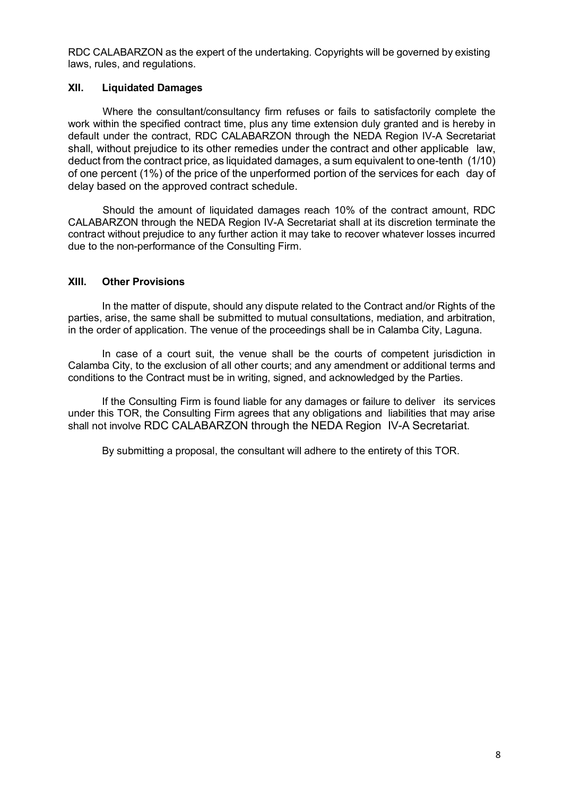RDC CALABARZON as the expert of the undertaking. Copyrights will be governed by existing laws, rules, and regulations.

#### **XII. Liquidated Damages**

Where the consultant/consultancy firm refuses or fails to satisfactorily complete the work within the specified contract time, plus any time extension duly granted and is hereby in default under the contract, RDC CALABARZON through the NEDA Region IV-A Secretariat shall, without prejudice to its other remedies under the contract and other applicable law, deduct from the contract price, as liquidated damages, a sum equivalent to one-tenth (1/10) of one percent (1%) of the price of the unperformed portion of the services for each day of delay based on the approved contract schedule.

Should the amount of liquidated damages reach 10% of the contract amount, RDC CALABARZON through the NEDA Region IV-A Secretariat shall at its discretion terminate the contract without prejudice to any further action it may take to recover whatever losses incurred due to the non-performance of the Consulting Firm.

#### **XIII. Other Provisions**

In the matter of dispute, should any dispute related to the Contract and/or Rights of the parties, arise, the same shall be submitted to mutual consultations, mediation, and arbitration, in the order of application. The venue of the proceedings shall be in Calamba City, Laguna.

In case of a court suit, the venue shall be the courts of competent jurisdiction in Calamba City, to the exclusion of all other courts; and any amendment or additional terms and conditions to the Contract must be in writing, signed, and acknowledged by the Parties.

If the Consulting Firm is found liable for any damages or failure to deliver its services under this TOR, the Consulting Firm agrees that any obligations and liabilities that may arise shall not involve RDC CALABARZON through the NEDA Region IV-A Secretariat.

By submitting a proposal, the consultant will adhere to the entirety of this TOR.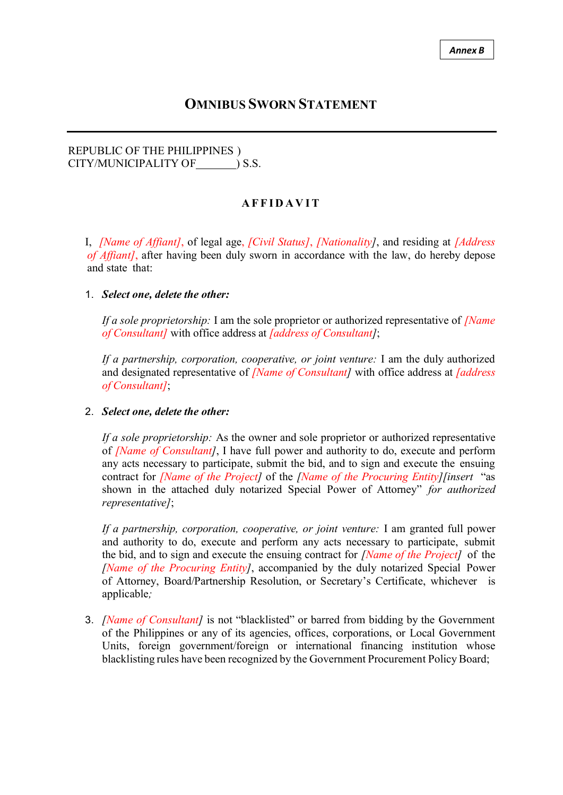### **OMNIBUS SWORN STATEMENT**

#### REPUBLIC OF THE PHILIPPINES ) CITY/MUNICIPALITY OF  $\qquad$  ) S.S.

#### **A F F I D A V IT**

I, *[Name of Affiant]*, of legal age, *[Civil Status]*, *[Nationality]*, and residing at *[Address of Affiant]*, after having been duly sworn in accordance with the law, do hereby depose and state that:

#### 1. *Select one, delete the other:*

*If a sole proprietorship:* I am the sole proprietor or authorized representative of *[Name of Consultant]* with office address at *[address of Consultant]*;

*If a partnership, corporation, cooperative, or joint venture:* I am the duly authorized and designated representative of *[Name of Consultant]* with office address at *[address of Consultant]*;

#### 2. *Select one, delete the other:*

*If a sole proprietorship:* As the owner and sole proprietor or authorized representative of *[Name of Consultant]*, I have full power and authority to do, execute and perform any acts necessary to participate, submit the bid, and to sign and execute the ensuing contract for *[Name of the Project]* of the *[Name of the Procuring Entity][insert* "as shown in the attached duly notarized Special Power of Attorney" *for authorized representative]*;

*If a partnership, corporation, cooperative, or joint venture:* I am granted full power and authority to do, execute and perform any acts necessary to participate, submit the bid, and to sign and execute the ensuing contract for *[Name of the Project]* of the *[Name of the Procuring Entity]*, accompanied by the duly notarized Special Power of Attorney, Board/Partnership Resolution, or Secretary's Certificate, whichever is applicable*;*

3. *[Name of Consultant]* is not "blacklisted" or barred from bidding by the Government of the Philippines or any of its agencies, offices, corporations, or Local Government Units, foreign government/foreign or international financing institution whose blacklisting rules have been recognized by the Government Procurement Policy Board;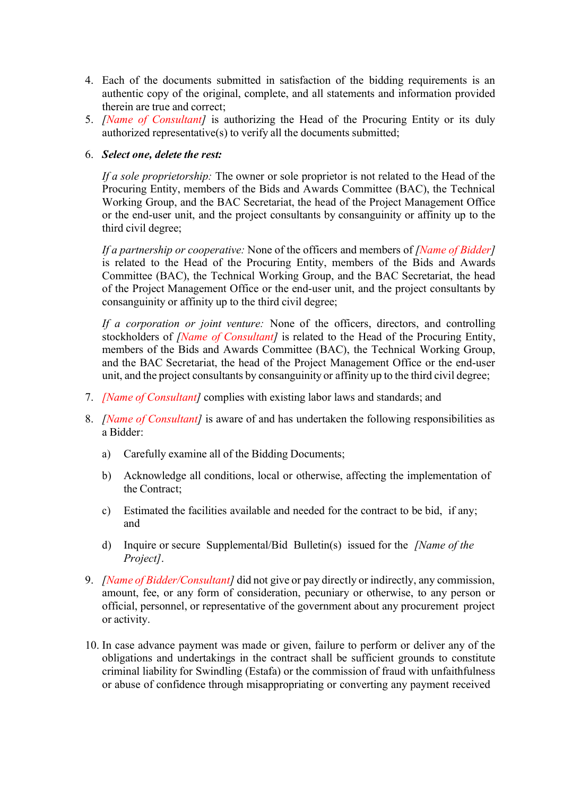- 4. Each of the documents submitted in satisfaction of the bidding requirements is an authentic copy of the original, complete, and all statements and information provided therein are true and correct;
- 5. *[Name of Consultant]* is authorizing the Head of the Procuring Entity or its duly authorized representative(s) to verify all the documents submitted;

#### 6. *Select one, delete the rest:*

*If a sole proprietorship:* The owner or sole proprietor is not related to the Head of the Procuring Entity, members of the Bids and Awards Committee (BAC), the Technical Working Group, and the BAC Secretariat, the head of the Project Management Office or the end-user unit, and the project consultants by consanguinity or affinity up to the third civil degree;

*If a partnership or cooperative:* None of the officers and members of *[Name of Bidder]* is related to the Head of the Procuring Entity, members of the Bids and Awards Committee (BAC), the Technical Working Group, and the BAC Secretariat, the head of the Project Management Office or the end-user unit, and the project consultants by consanguinity or affinity up to the third civil degree;

*If a corporation or joint venture:* None of the officers, directors, and controlling stockholders of *[Name of Consultant]* is related to the Head of the Procuring Entity, members of the Bids and Awards Committee (BAC), the Technical Working Group, and the BAC Secretariat, the head of the Project Management Office or the end-user unit, and the project consultants by consanguinity or affinity up to the third civil degree;

- 7. *[Name of Consultant]* complies with existing labor laws and standards; and
- 8. *[Name of Consultant]* is aware of and has undertaken the following responsibilities as a Bidder:
	- a) Carefully examine all of the Bidding Documents;
	- b) Acknowledge all conditions, local or otherwise, affecting the implementation of the Contract;
	- c) Estimated the facilities available and needed for the contract to be bid, if any; and
	- d) Inquire or secure Supplemental/Bid Bulletin(s) issued for the *[Name of the Project]*.
- 9. *[Name of Bidder/Consultant]* did not give or pay directly or indirectly, any commission, amount, fee, or any form of consideration, pecuniary or otherwise, to any person or official, personnel, or representative of the government about any procurement project or activity.
- 10. In case advance payment was made or given, failure to perform or deliver any of the obligations and undertakings in the contract shall be sufficient grounds to constitute criminal liability for Swindling (Estafa) or the commission of fraud with unfaithfulness or abuse of confidence through misappropriating or converting any payment received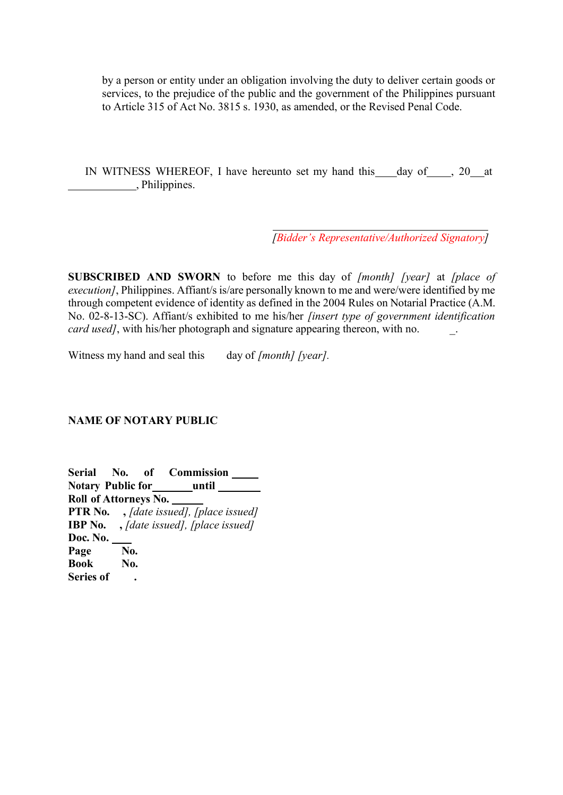by a person or entity under an obligation involving the duty to deliver certain goods or services, to the prejudice of the public and the government of the Philippines pursuant to Article 315 of Act No. 3815 s. 1930, as amended, or the Revised Penal Code.

IN WITNESS WHEREOF, I have hereunto set my hand this day of , 20 at , Philippines.

*[Bidder's Representative/Authorized Signatory]*

**SUBSCRIBED AND SWORN** to before me this day of *[month] [year]* at *[place of execution]*, Philippines. Affiant/s is/are personally known to me and were/were identified by me through competent evidence of identity as defined in the 2004 Rules on Notarial Practice (A.M. No. 02-8-13-SC). Affiant/s exhibited to me his/her *[insert type of government identification card used]*, with his/her photograph and signature appearing thereon, with no.

Witness my hand and seal this day of *[month] [year].*

#### **NAME OF NOTARY PUBLIC**

**Serial No. of Commission Notary Public for until Roll of Attorneys No. PTR No. ,** *[date issued], [place issued]* **IBP No. ,** *[date issued], [place issued]* **Doc. No.** Page **No. Book No. Series of .**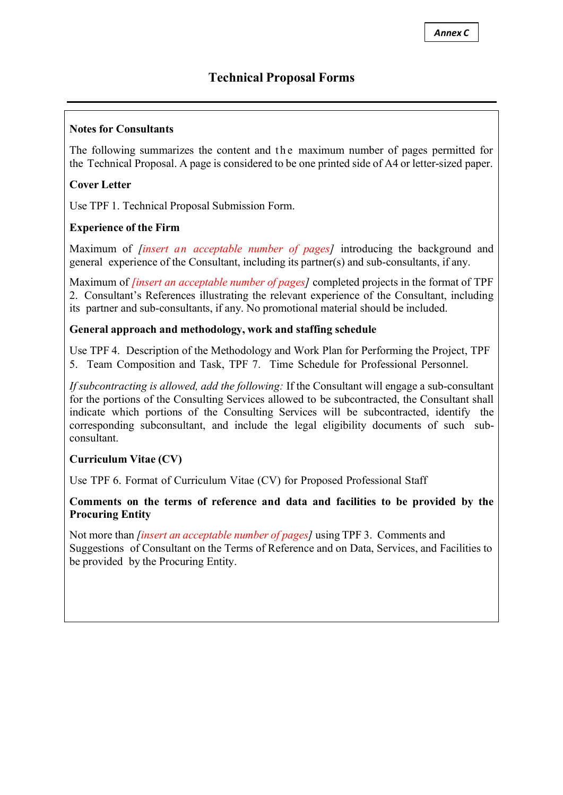#### **Notes for Consultants**

The following summarizes the content and the maximum number of pages permitted for the Technical Proposal. A page is considered to be one printed side of A4 or letter-sized paper.

#### **Cover Letter**

Use TPF 1. Technical Proposal Submission Form.

#### **Experience of the Firm**

Maximum of *[insert an acceptable number of pages]* introducing the background and general experience of the Consultant, including its partner(s) and sub-consultants, if any.

Maximum of *[insert an acceptable number of pages]* completed projects in the format of TPF 2. Consultant's References illustrating the relevant experience of the Consultant, including its partner and sub-consultants, if any. No promotional material should be included.

#### **General approach and methodology, work and staffing schedule**

Use TPF 4. Description of the Methodology and Work Plan for Performing the Project, TPF 5. Team Composition and Task, TPF 7. Time Schedule for Professional Personnel.

*If subcontracting is allowed, add the following:* If the Consultant will engage a sub-consultant for the portions of the Consulting Services allowed to be subcontracted, the Consultant shall indicate which portions of the Consulting Services will be subcontracted, identify the corresponding subconsultant, and include the legal eligibility documents of such subconsultant.

#### **Curriculum Vitae (CV)**

Use TPF 6. Format of Curriculum Vitae (CV) for Proposed Professional Staff

#### **Comments on the terms of reference and data and facilities to be provided by the Procuring Entity**

Not more than *[insert an acceptable number of pages]* using TPF 3. Comments and Suggestions of Consultant on the Terms of Reference and on Data, Services, and Facilities to be provided by the Procuring Entity.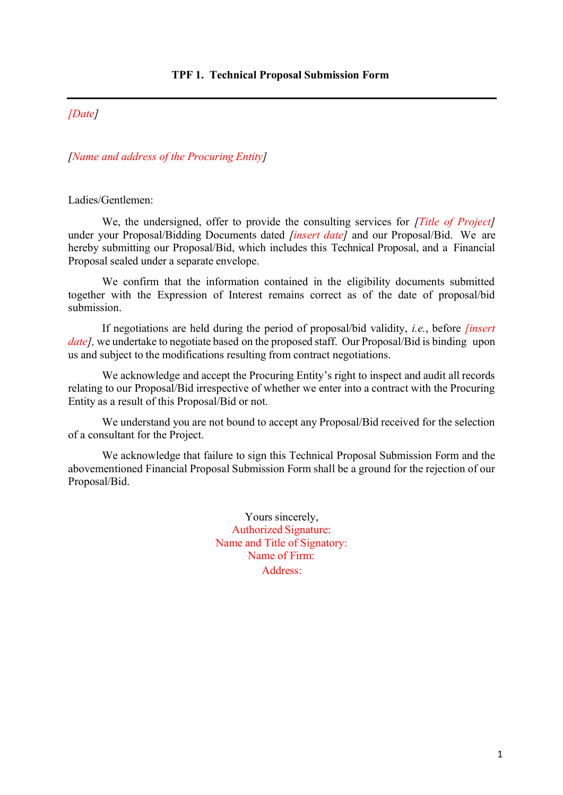#### *[Date]*

*[Name and address of the Procuring Entity]*

Ladies/Gentlemen:

We, the undersigned, offer to provide the consulting services for *[Title of Project]* under your Proposal/Bidding Documents dated *[insert date]* and our Proposal/Bid. We are hereby submitting our Proposal/Bid, which includes this Technical Proposal, and a Financial Proposal sealed under a separate envelope.

We confirm that the information contained in the eligibility documents submitted together with the Expression of Interest remains correct as of the date of proposal/bid submission.

If negotiations are held during the period of proposal/bid validity, *i.e.*, before *[insert date]*, we undertake to negotiate based on the proposed staff. Our Proposal/Bid is binding upon us and subject to the modifications resulting from contract negotiations.

We acknowledge and accept the Procuring Entity's right to inspect and audit all records relating to our Proposal/Bid irrespective of whether we enter into a contract with the Procuring Entity as a result of this Proposal/Bid or not.

We understand you are not bound to accept any Proposal/Bid received for the selection of a consultant for the Project.

We acknowledge that failure to sign this Technical Proposal Submission Form and the abovementioned Financial Proposal Submission Form shall be a ground for the rejection of our Proposal/Bid.

> Yours sincerely, Authorized Signature: Name and Title of Signatory: Name of Firm: Address: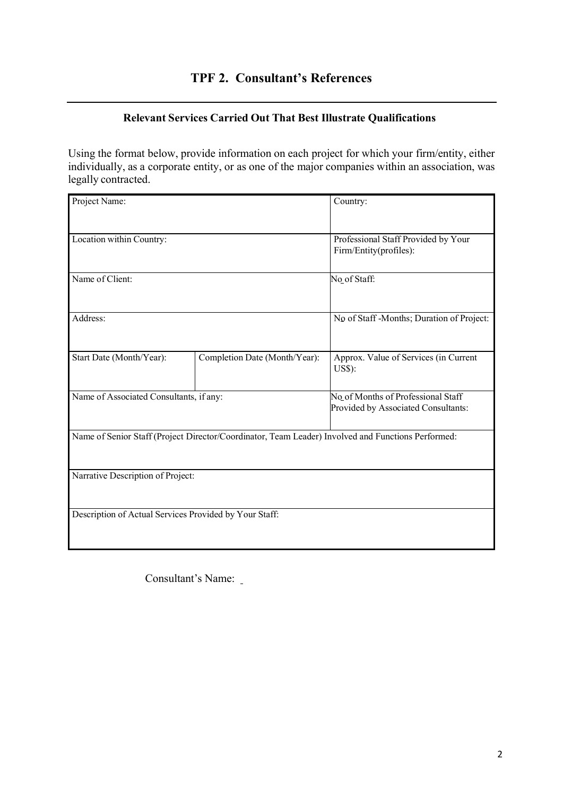## **TPF 2. Consultant's References**

### **Relevant Services Carried Out That Best Illustrate Qualifications**

Using the format below, provide information on each project for which your firm/entity, either individually, as a corporate entity, or as one of the major companies within an association, was legally contracted.

| Project Name:                                          |                                           | Country:                                                                                           |  |  |  |  |  |
|--------------------------------------------------------|-------------------------------------------|----------------------------------------------------------------------------------------------------|--|--|--|--|--|
|                                                        |                                           |                                                                                                    |  |  |  |  |  |
| Location within Country:                               |                                           | Professional Staff Provided by Your<br>Firm/Entity(profiles):                                      |  |  |  |  |  |
| Name of Client:                                        | No of Staff:                              |                                                                                                    |  |  |  |  |  |
| Address:                                               | No of Staff -Months; Duration of Project: |                                                                                                    |  |  |  |  |  |
| Start Date (Month/Year):                               | Completion Date (Month/Year):             | Approx. Value of Services (in Current<br><b>US\$</b> ):                                            |  |  |  |  |  |
| Name of Associated Consultants, if any:                |                                           | No of Months of Professional Staff<br>Provided by Associated Consultants:                          |  |  |  |  |  |
|                                                        |                                           | Name of Senior Staff (Project Director/Coordinator, Team Leader) Involved and Functions Performed: |  |  |  |  |  |
| Narrative Description of Project:                      |                                           |                                                                                                    |  |  |  |  |  |
| Description of Actual Services Provided by Your Staff: |                                           |                                                                                                    |  |  |  |  |  |

Consultant's Name: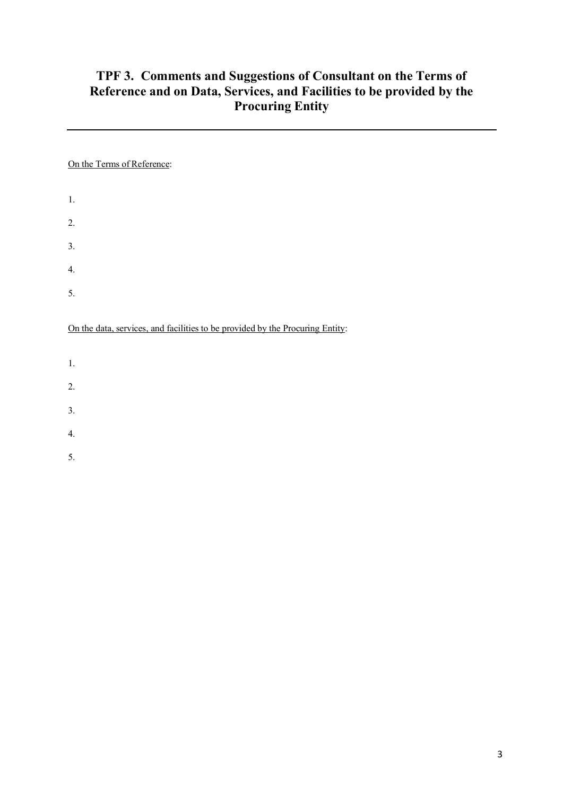## **TPF 3. Comments and Suggestions of Consultant on the Terms of Reference and on Data, Services, and Facilities to be provided by the Procuring Entity**

On the Terms of Reference:

| 1. |  |  |  |
|----|--|--|--|
| 2. |  |  |  |
| 3. |  |  |  |
| 4. |  |  |  |
| 5. |  |  |  |

On the data, services, and facilities to be provided by the Procuring Entity:

- 1. 2. 3. 4.
- 5.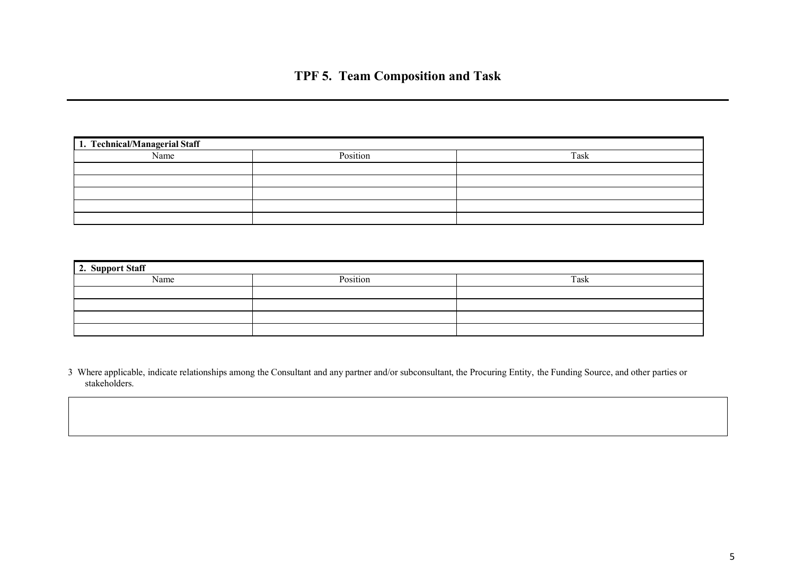| 1. Technical/Managerial Staff |          |      |  |  |  |  |  |  |  |  |
|-------------------------------|----------|------|--|--|--|--|--|--|--|--|
| Name                          | Position | Task |  |  |  |  |  |  |  |  |
|                               |          |      |  |  |  |  |  |  |  |  |
|                               |          |      |  |  |  |  |  |  |  |  |
|                               |          |      |  |  |  |  |  |  |  |  |
|                               |          |      |  |  |  |  |  |  |  |  |
|                               |          |      |  |  |  |  |  |  |  |  |

| 2. Support Staff |          |      |  |  |  |  |  |  |  |  |  |
|------------------|----------|------|--|--|--|--|--|--|--|--|--|
| Name             | Position | Task |  |  |  |  |  |  |  |  |  |
|                  |          |      |  |  |  |  |  |  |  |  |  |
|                  |          |      |  |  |  |  |  |  |  |  |  |
|                  |          |      |  |  |  |  |  |  |  |  |  |
|                  |          |      |  |  |  |  |  |  |  |  |  |

3 Where applicable, indicate relationships among the Consultant and any partner and/or subconsultant, the Procuring Entity, the Funding Source, and other parties or stakeholders.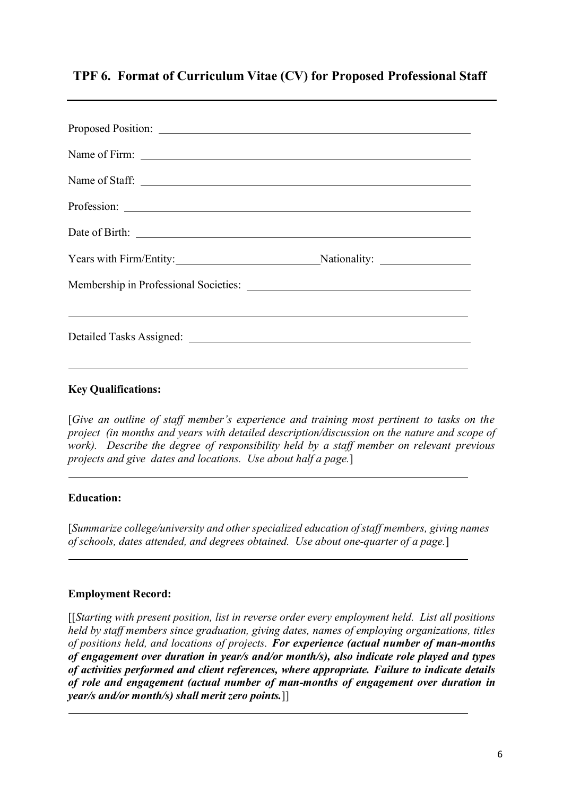## **TPF 6. Format of Curriculum Vitae (CV) for Proposed Professional Staff**

| Name of Staff: |  |
|----------------|--|
|                |  |
|                |  |
|                |  |
|                |  |
|                |  |
|                |  |
|                |  |

#### **Key Qualifications:**

[*Give an outline of staff member's experience and training most pertinent to tasks on the project (in months and years with detailed description/discussion on the nature and scope of work). Describe the degree of responsibility held by a staff member on relevant previous projects and give dates and locations. Use about half a page.*]

#### **Education:**

[*Summarize college/university and other specialized education ofstaff members, giving names of schools, dates attended, and degrees obtained. Use about one-quarter of a page.*]

#### **Employment Record:**

[[*Starting with present position, list in reverse order every employment held. List all positions held by staff members since graduation, giving dates, names of employing organizations, titles of positions held, and locations of projects. For experience (actual number of man-months of engagement over duration in year/s and/or month/s), also indicate role played and types of activities performed and client references, where appropriate. Failure to indicate details of role and engagement (actual number of man-months of engagement over duration in year/s and/or month/s) shall merit zero points.*]]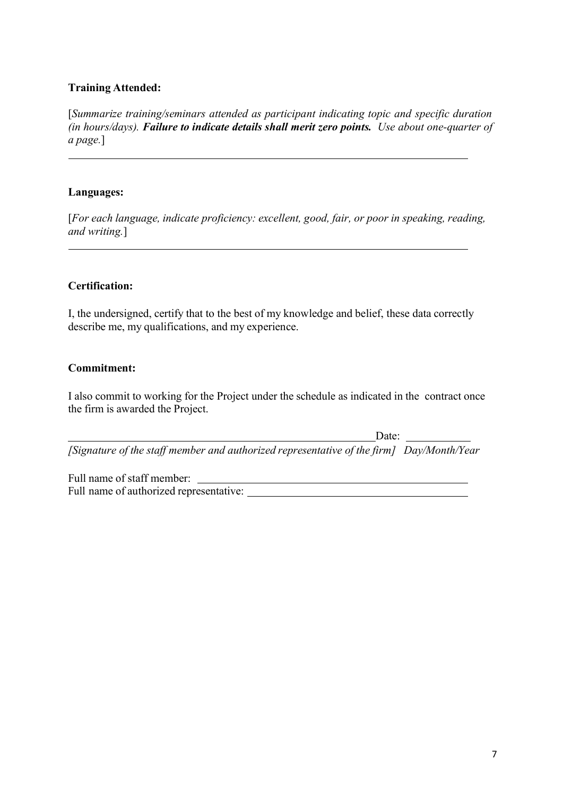#### **Training Attended:**

[*Summarize training/seminars attended as participant indicating topic and specific duration (in hours/days). Failure to indicate details shall merit zero points. Use about one-quarter of a page.*]

#### **Languages:**

[*For each language, indicate proficiency: excellent, good, fair, or poor in speaking, reading, and writing.*]

#### **Certification:**

I, the undersigned, certify that to the best of my knowledge and belief, these data correctly describe me, my qualifications, and my experience.

#### **Commitment:**

I also commit to working for the Project under the schedule as indicated in the contract once the firm is awarded the Project.

Date:

*[Signature of the staff member and authorized representative of the firm] Day/Month/Year*

Full name of staff member: Full name of authorized representative: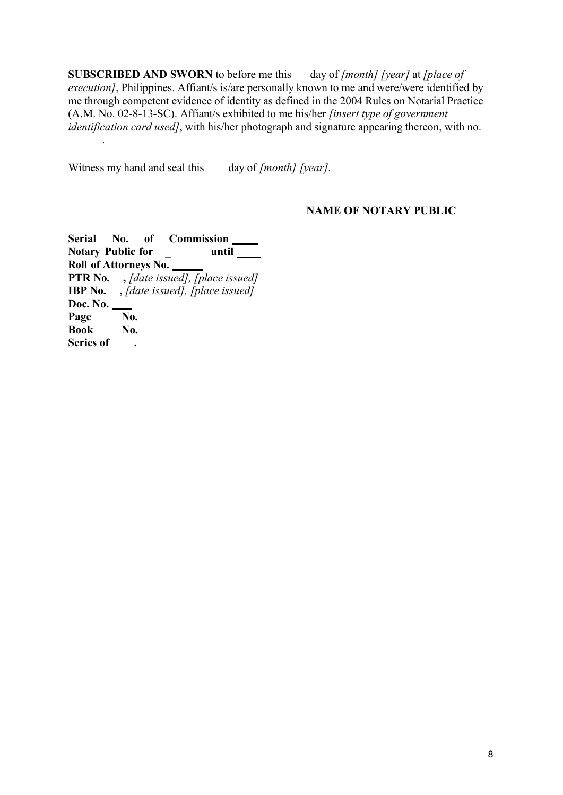**SUBSCRIBED AND SWORN** to before me this \_\_\_day of *[month] [year]* at *[place of execution]*, Philippines. Affiant/s is/are personally known to me and were/were identified by me through competent evidence of identity as defined in the 2004 Rules on Notarial Practice (A.M. No. 02-8-13-SC). Affiant/s exhibited to me his/her *[insert type of government identification card used]*, with his/her photograph and signature appearing thereon, with no.

Witness my hand and seal this day of *[month] [year].*

#### **NAME OF NOTARY PUBLIC**

**Serial No. of Commission Notary Public** for **until Roll of Attorneys No. PTR No. ,** *[date issued], [place issued]* **IBP No. ,** *[date issued], [place issued]* **Doc. No.** Page **No. Book No. Series of .**

.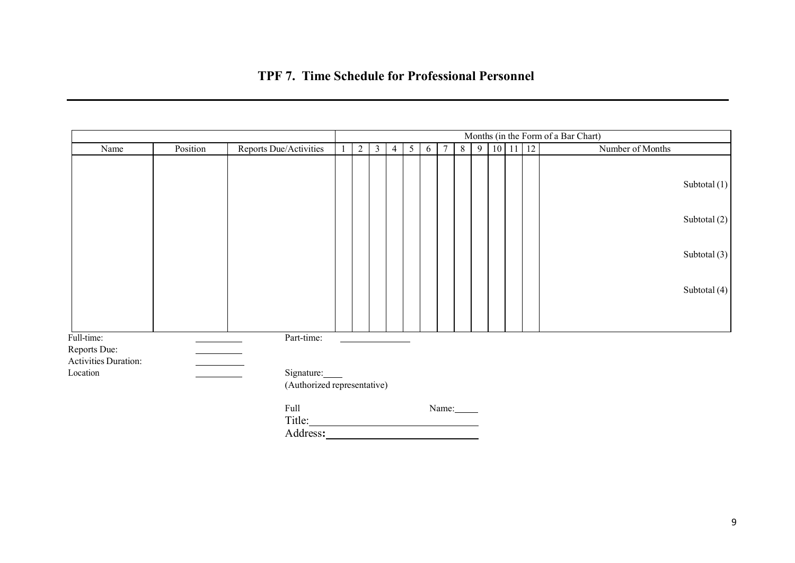## **TPF 7. Time Schedule for Professional Personnel**

|                                                           |          |                                           |                |              |                 |   |   |       |   |   |                      |  | Months (in the Form of a Bar Chart) |
|-----------------------------------------------------------|----------|-------------------------------------------|----------------|--------------|-----------------|---|---|-------|---|---|----------------------|--|-------------------------------------|
| Name                                                      | Position | Reports Due/Activities                    | $\overline{2}$ | $\mathbf{3}$ | $\vert 4 \vert$ | 5 | 6 | 7     | 8 | 9 | $10 \mid 11 \mid 12$ |  | Number of Months                    |
|                                                           |          |                                           |                |              |                 |   |   |       |   |   |                      |  | Subtotal $(1)$                      |
|                                                           |          |                                           |                |              |                 |   |   |       |   |   |                      |  | Subtotal $(2)$                      |
|                                                           |          |                                           |                |              |                 |   |   |       |   |   |                      |  | Subtotal $(3)$                      |
|                                                           |          |                                           |                |              |                 |   |   |       |   |   |                      |  | Subtotal $(4)$                      |
|                                                           |          |                                           |                |              |                 |   |   |       |   |   |                      |  |                                     |
| Full-time:<br>Reports Due:<br><b>Activities Duration:</b> |          | Part-time:                                |                |              |                 |   |   |       |   |   |                      |  |                                     |
| Location                                                  |          | Signature:<br>(Authorized representative) |                |              |                 |   |   |       |   |   |                      |  |                                     |
|                                                           |          | Full<br>Title:                            |                |              |                 |   |   | Name: |   |   |                      |  |                                     |
|                                                           |          | Address:                                  |                |              |                 |   |   |       |   |   |                      |  |                                     |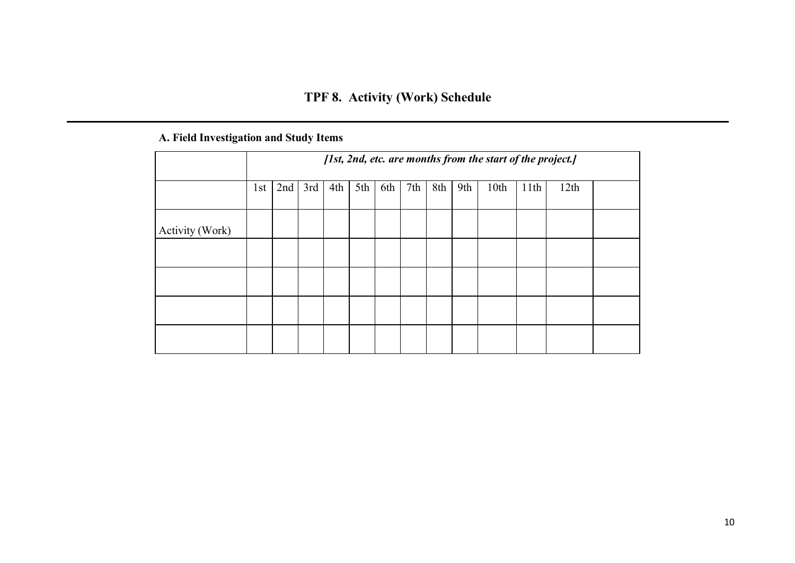# **TPF 8. Activity (Work) Schedule**

## **A. Field Investigation and Study Items**

|                 |     | [1st, 2nd, etc. are months from the start of the project.] |     |     |     |     |     |     |     |      |      |      |  |
|-----------------|-----|------------------------------------------------------------|-----|-----|-----|-----|-----|-----|-----|------|------|------|--|
|                 | 1st | 2nd                                                        | 3rd | 4th | 5th | 6th | 7th | 8th | 9th | 10th | 11th | 12th |  |
| Activity (Work) |     |                                                            |     |     |     |     |     |     |     |      |      |      |  |
|                 |     |                                                            |     |     |     |     |     |     |     |      |      |      |  |
|                 |     |                                                            |     |     |     |     |     |     |     |      |      |      |  |
|                 |     |                                                            |     |     |     |     |     |     |     |      |      |      |  |
|                 |     |                                                            |     |     |     |     |     |     |     |      |      |      |  |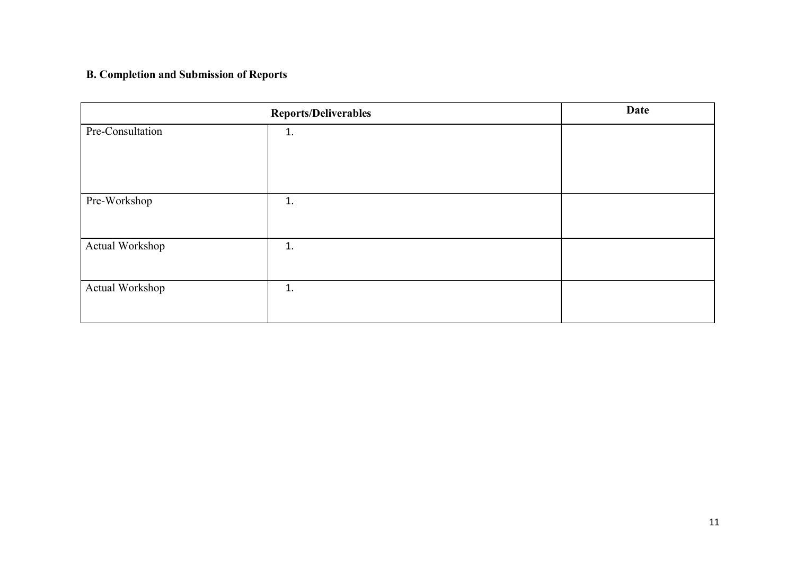## **B. Completion and Submission of Reports**

|                  | Date |  |
|------------------|------|--|
| Pre-Consultation | 1.   |  |
| Pre-Workshop     | 1.   |  |
| Actual Workshop  | 1.   |  |
| Actual Workshop  | 1.   |  |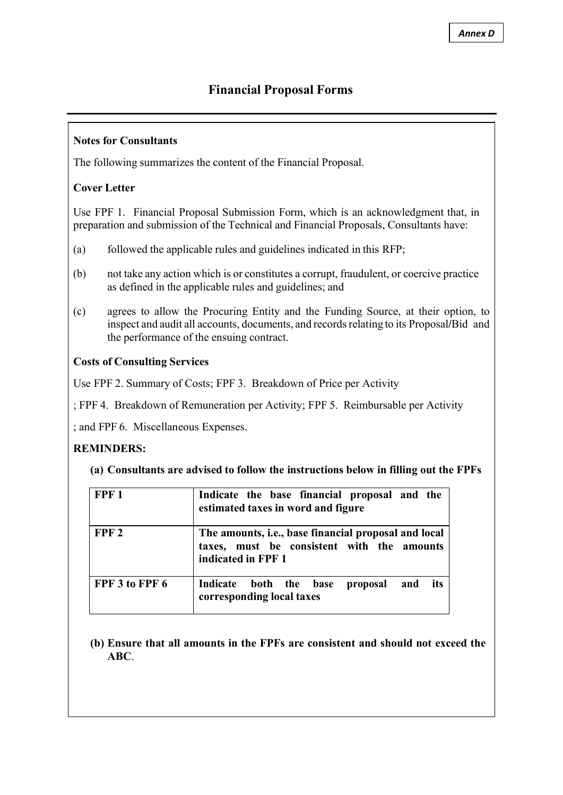#### **Notes for Consultants**

The following summarizes the content of the Financial Proposal.

#### **Cover Letter**

Use FPF 1. Financial Proposal Submission Form, which is an acknowledgment that, in preparation and submission of the Technical and Financial Proposals, Consultants have:

- (a) followed the applicable rules and guidelines indicated in this RFP;
- (b) not take any action which is or constitutes a corrupt, fraudulent, or coercive practice as defined in the applicable rules and guidelines; and
- (c) agrees to allow the Procuring Entity and the Funding Source, at their option, to inspect and audit all accounts, documents, and recordsrelating to its Proposal**/**Bid and the performance of the ensuing contract.

#### **Costs of Consulting Services**

Use FPF 2. Summary of Costs; FPF 3. Breakdown of Price per Activity

; FPF 4. Breakdown of Remuneration per Activity; FPF 5. Reimbursable per Activity

; and FPF 6. Miscellaneous Expenses.

#### **REMINDERS:**

**(a) Consultants are advised to follow the instructions below in filling out the FPFs**

| FPF <sub>1</sub> | Indicate the base financial proposal and the<br>estimated taxes in word and figure                                       |
|------------------|--------------------------------------------------------------------------------------------------------------------------|
| FPF <sub>2</sub> | The amounts, i.e., base financial proposal and local<br>taxes, must be consistent with the amounts<br>indicated in FPF 1 |
| FPF 3 to FPF 6   | its<br>Indicate<br>both the<br>base<br>proposal<br>and<br>corresponding local taxes                                      |

**(b) Ensure that all amounts in the FPFs are consistent and should not exceed the ABC**.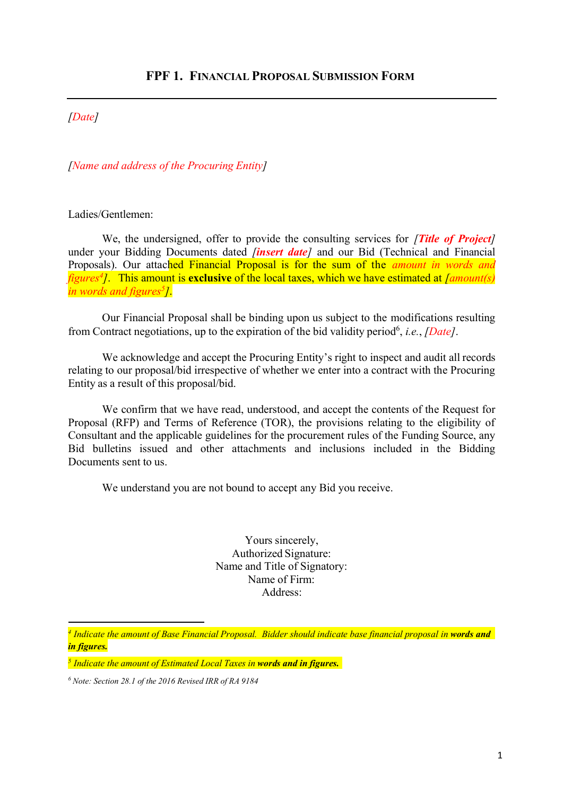#### *[Date]*

*[Name and address of the Procuring Entity]*

Ladies/Gentlemen:

We, the undersigned, offer to provide the consulting services for *[Title of Project]* under your Bidding Documents dated *[insert date]* and our Bid (Technical and Financial Proposals). Our attached Financial Proposal is for the sum of the *amount in words and figures4 ]*. This amount is **exclusive** of the local taxes, which we have estimated at *[amount(s) in words and figures5]*.

Our Financial Proposal shall be binding upon us subject to the modifications resulting from Contract negotiations, up to the expiration of the bid validity period<sup>6</sup>, *i.e.*, *[Date]*.

We acknowledge and accept the Procuring Entity's right to inspect and audit all records relating to our proposal/bid irrespective of whether we enter into a contract with the Procuring Entity as a result of this proposal/bid.

We confirm that we have read, understood, and accept the contents of the Request for Proposal (RFP) and Terms of Reference (TOR), the provisions relating to the eligibility of Consultant and the applicable guidelines for the procurement rules of the Funding Source, any Bid bulletins issued and other attachments and inclusions included in the Bidding Documents sent to us.

We understand you are not bound to accept any Bid you receive.

Yours sincerely, Authorized Signature: Name and Title of Signatory: Name of Firm: Address:

*<sup>4</sup> Indicate the amount of Base Financial Proposal. Bidder should indicate base financial proposal in words and in figures.*

*<sup>5</sup> Indicate the amount of Estimated Local Taxes in words and in figures.*

*<sup>6</sup> Note: Section 28.1 of the 2016 Revised IRR of RA 9184*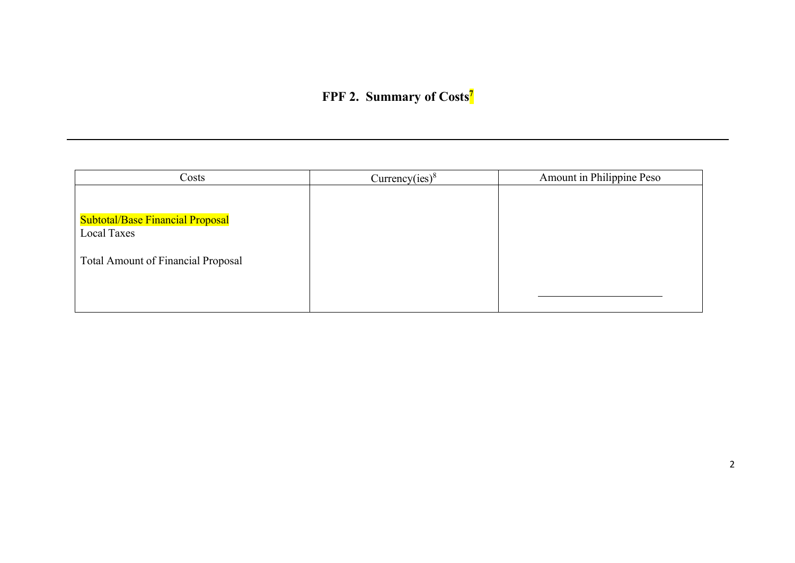**FPF 2. Summary of Costs7**

| Costs                                                  | Currency(ies) $8$ | Amount in Philippine Peso |
|--------------------------------------------------------|-------------------|---------------------------|
| <b>Subtotal/Base Financial Proposal</b><br>Local Taxes |                   |                           |
| <b>Total Amount of Financial Proposal</b>              |                   |                           |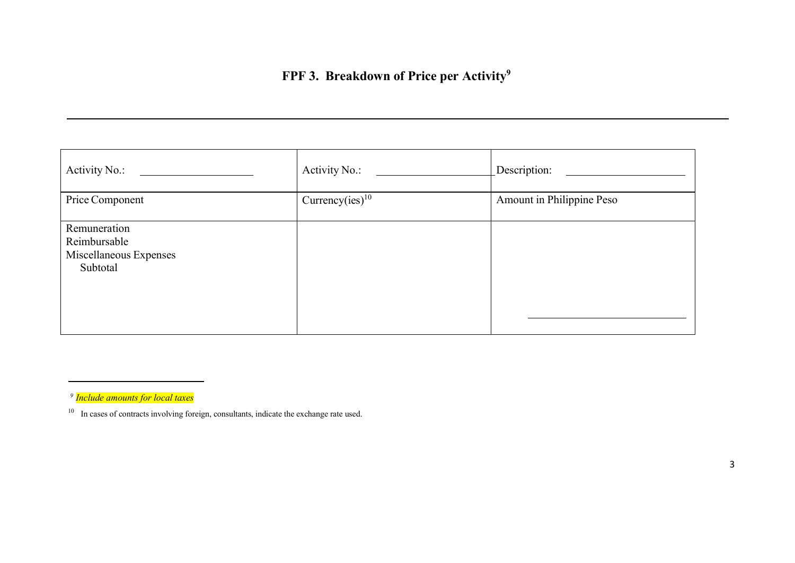# **FPF 3. Breakdown of Price per Activity9**

| Activity No.:                                                      | Activity No.:      | Description:              |
|--------------------------------------------------------------------|--------------------|---------------------------|
| Price Component                                                    | Currency(ies) $10$ | Amount in Philippine Peso |
| Remuneration<br>Reimbursable<br>Miscellaneous Expenses<br>Subtotal |                    |                           |

*<sup>9</sup> Include amounts for local taxes*

<sup>&</sup>lt;sup>10</sup> In cases of contracts involving foreign, consultants, indicate the exchange rate used.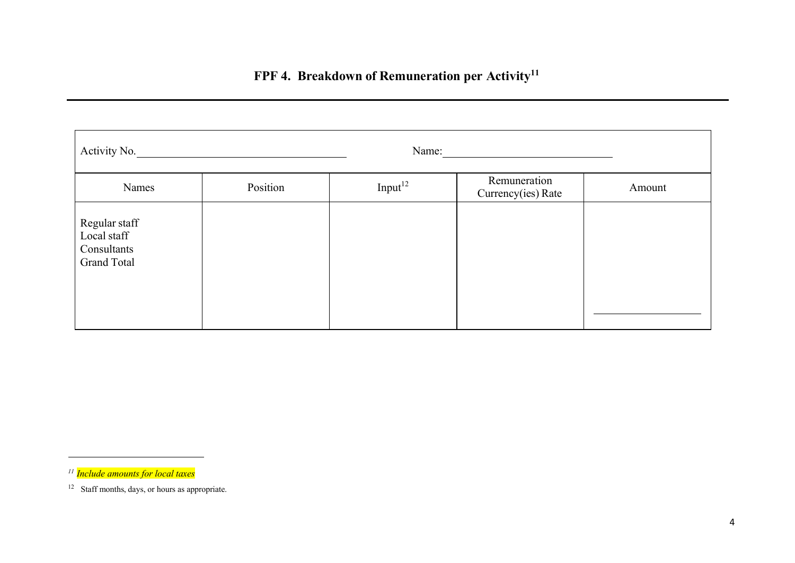# **FPF 4. Breakdown of Remuneration per Activity11**

| Activity No.                                                      | Name:    |                     |                                    |        |
|-------------------------------------------------------------------|----------|---------------------|------------------------------------|--------|
| Names                                                             | Position | Input <sup>12</sup> | Remuneration<br>Currency(ies) Rate | Amount |
| Regular staff<br>Local staff<br>Consultants<br><b>Grand Total</b> |          |                     |                                    |        |

*<sup>11</sup> Include amounts for local taxes*

<sup>12</sup> Staff months, days, or hours as appropriate.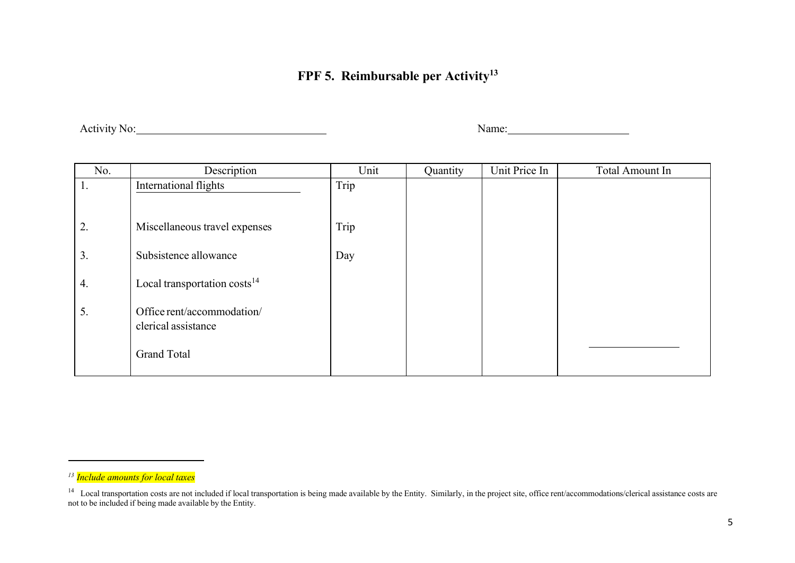## **FPF 5. Reimbursable per Activity13**

Activity No: Name: Name: Name: Name: Name: Name: Name: Name: Name: Name: Name: Name: Name: Name: Name: Name: Name: Name: Name: Name: Name: Name: Name: Name: Name: Name: Name: Name: Name: Name: Name: Name: Name: Name: Name:

| No. | Description                                       | Unit | Quantity | Unit Price In | <b>Total Amount In</b> |
|-----|---------------------------------------------------|------|----------|---------------|------------------------|
| Ι.  | International flights                             | Trip |          |               |                        |
|     |                                                   |      |          |               |                        |
| 2.  | Miscellaneous travel expenses                     | Trip |          |               |                        |
| 3.  | Subsistence allowance                             | Day  |          |               |                        |
| 4.  | Local transportation costs <sup>14</sup>          |      |          |               |                        |
| 5.  | Office rent/accommodation/<br>clerical assistance |      |          |               |                        |
|     | <b>Grand Total</b>                                |      |          |               |                        |

*<sup>13</sup> Include amounts for local taxes*

<sup>&</sup>lt;sup>14</sup> Local transportation costs are not included if local transportation is being made available by the Entity. Similarly, in the project site, office rent/accommodations/clerical assistance costs are not to be included if being made available by the Entity.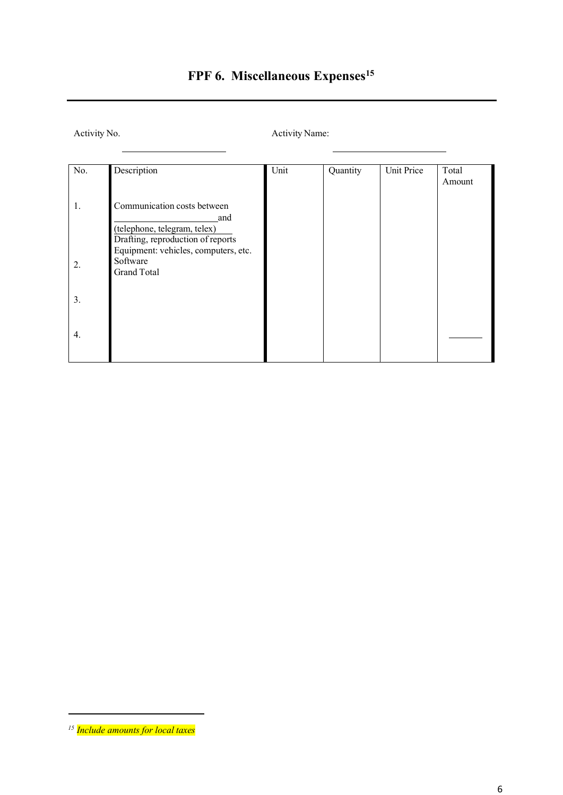# **FPF 6. Miscellaneous Expenses15**

Activity No. **Activity Name:** 

| No. | Description                                                                                             | Unit | Quantity | <b>Unit Price</b> | Total<br>Amount |
|-----|---------------------------------------------------------------------------------------------------------|------|----------|-------------------|-----------------|
| 1.  | Communication costs between<br>and<br>(telephone, telegram, telex)<br>Drafting, reproduction of reports |      |          |                   |                 |
| 2.  | Equipment: vehicles, computers, etc.<br>Software<br><b>Grand Total</b>                                  |      |          |                   |                 |
| 3.  |                                                                                                         |      |          |                   |                 |
| 4.  |                                                                                                         |      |          |                   |                 |

*<sup>15</sup> Include amounts for local taxes*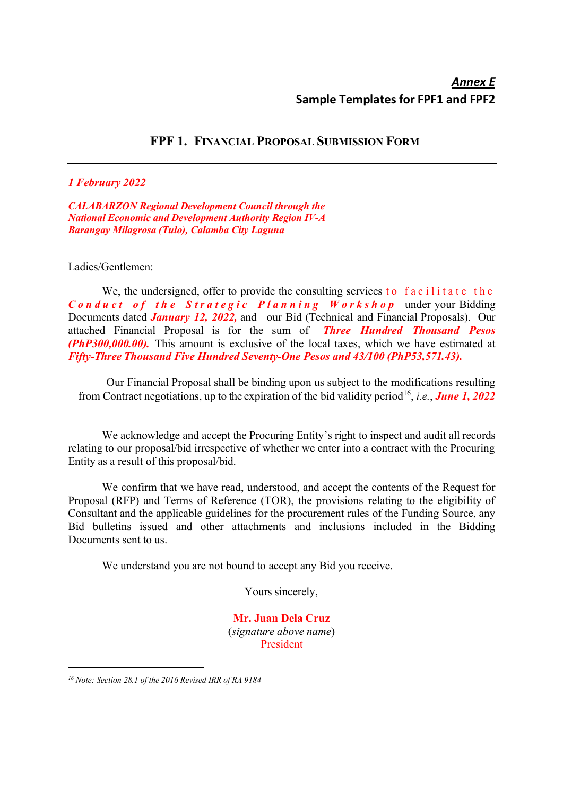### **FPF 1. FINANCIAL PROPOSAL SUBMISSION FORM**

#### *1 February 2022*

*CALABARZON Regional Development Council through the National Economic and Development Authority Region IV-A Barangay Milagrosa (Tulo), Calamba City Laguna*

#### Ladies/Gentlemen:

We, the undersigned, offer to provide the consulting services to facilitate the *Conduct of the Strategic Planning Workshop* under your Bidding Documents dated *January 12, 2022,* and our Bid (Technical and Financial Proposals). Our attached Financial Proposal is for the sum of *Three Hundred Thousand Pesos (PhP300,000.00).* This amount is exclusive of the local taxes, which we have estimated at *Fifty-Three Thousand Five Hundred Seventy-One Pesos and 43/100 (PhP53,571.43).*

Our Financial Proposal shall be binding upon us subject to the modifications resulting from Contract negotiations, up to the expiration of the bid validity period16, *i.e.*, *June 1, 2022*

We acknowledge and accept the Procuring Entity's right to inspect and audit all records relating to our proposal/bid irrespective of whether we enter into a contract with the Procuring Entity as a result of this proposal/bid.

We confirm that we have read, understood, and accept the contents of the Request for Proposal (RFP) and Terms of Reference (TOR), the provisions relating to the eligibility of Consultant and the applicable guidelines for the procurement rules of the Funding Source, any Bid bulletins issued and other attachments and inclusions included in the Bidding Documents sent to us.

We understand you are not bound to accept any Bid you receive.

Yours sincerely,

**Mr. Juan Dela Cruz** (*signature above name*) President

*<sup>16</sup> Note: Section 28.1 of the 2016 Revised IRR of RA 9184*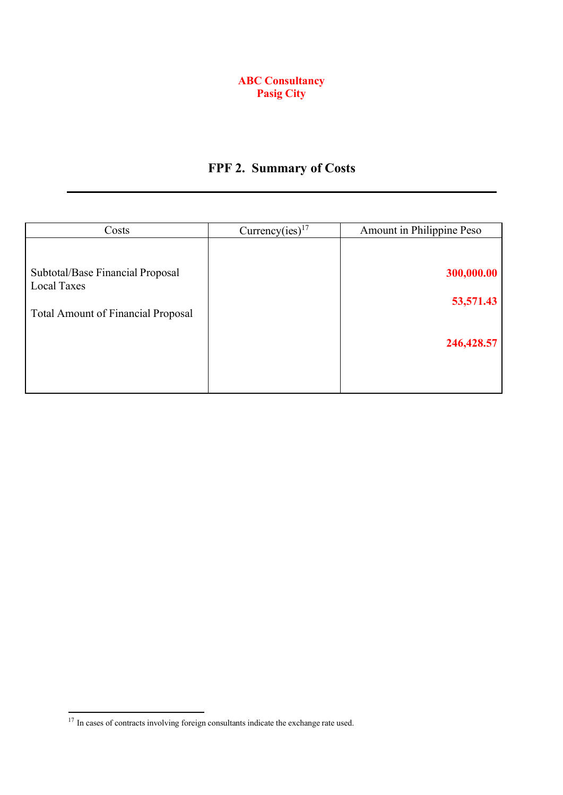#### **ABC Consultancy Pasig City**

# **FPF 2. Summary of Costs**

| Costs                                           | Currency(ies) $17$ | Amount in Philippine Peso |
|-------------------------------------------------|--------------------|---------------------------|
|                                                 |                    |                           |
| Subtotal/Base Financial Proposal<br>Local Taxes |                    | 300,000.00                |
| <b>Total Amount of Financial Proposal</b>       |                    | 53,571.43                 |
|                                                 |                    | 246,428.57                |
|                                                 |                    |                           |

<sup>&</sup>lt;sup>17</sup> In cases of contracts involving foreign consultants indicate the exchange rate used.